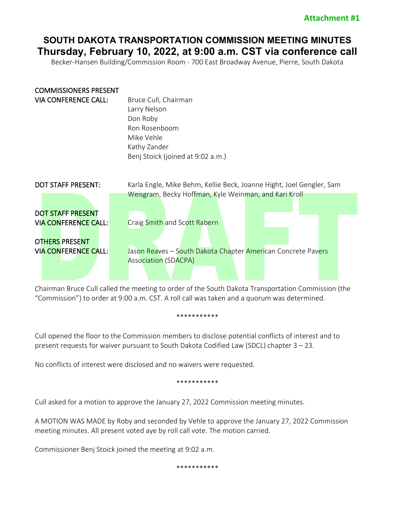# **SOUTH DAKOTA TRANSPORTATION COMMISSION MEETING MINUTES Thursday, February 10, 2022, at 9:00 a.m. CST via conference call**

Becker-Hansen Building/Commission Room - 700 East Broadway Avenue, Pierre, South Dakota

| <b>COMMISSIONERS PRESENT</b><br><b>VIA CONFERENCE CALL:</b>                                                     | Bruce Cull, Chairman<br>Larry Nelson<br>Don Roby<br>Ron Rosenboom<br>Mike Vehle<br>Kathy Zander<br>Benj Stoick (joined at 9:02 a.m.)                                                 |
|-----------------------------------------------------------------------------------------------------------------|--------------------------------------------------------------------------------------------------------------------------------------------------------------------------------------|
| <b>DOT STAFF PRESENT:</b>                                                                                       | Karla Engle, Mike Behm, Kellie Beck, Joanne Hight, Joel Gengler, Sam                                                                                                                 |
| <b>DOT STAFF PRESENT</b><br><b>VIA CONFERENCE CALL:</b><br><b>OTHERS PRESENT</b><br><b>VIA CONFERENCE CALL:</b> | Weisgram, Becky Hoffman, Kyle Weinman, and Kari Kroll<br>Craig Smith and Scott Rabern<br>Jason Reaves - South Dakota Chapter American Concrete Pavers<br><b>Association (SDACPA)</b> |

Chairman Bruce Cull called the meeting to order of the South Dakota Transportation Commission (the "Commission") to order at 9:00 a.m. CST. A roll call was taken and a quorum was determined.

#### \*\*\*\*\*\*\*\*\*\*\*

Cull opened the floor to the Commission members to disclose potential conflicts of interest and to present requests for waiver pursuant to South Dakota Codified Law (SDCL) chapter 3 – 23.

No conflicts of interest were disclosed and no waivers were requested.

\*\*\*\*\*\*\*\*\*\*\*

Cull asked for a motion to approve the January 27, 2022 Commission meeting minutes.

A MOTION WAS MADE by Roby and seconded by Vehle to approve the January 27, 2022 Commission meeting minutes. All present voted aye by roll call vote. The motion carried.

Commissioner Benj Stoick joined the meeting at 9:02 a.m.

\*\*\*\*\*\*\*\*\*\*\*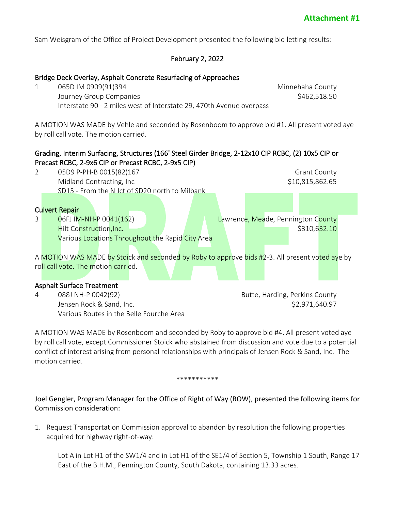Sam Weisgram of the Office of Project Development presented the following bid letting results:

# February 2, 2022

### Bridge Deck Overlay, Asphalt Concrete Resurfacing of Approaches

1 065D IM 0909(91)394 Minnehaha County Journey Group Companies \$462,518.50 Interstate 90 - 2 miles west of Interstate 29, 470th Avenue overpass

A MOTION WAS MADE by Vehle and seconded by Rosenboom to approve bid #1. All present voted aye by roll call vote. The motion carried.

## Grading, Interim Surfacing, Structures (166' Steel Girder Bridge, 2-12x10 CIP RCBC, (2) 10x5 CIP or Precast RCBC, 2-9x6 CIP or Precast RCBC, 2-9x5 CIP)



Various Routes in the Belle Fourche Area

A MOTION WAS MADE by Rosenboom and seconded by Roby to approve bid #4. All present voted aye by roll call vote, except Commissioner Stoick who abstained from discussion and vote due to a potential conflict of interest arising from personal relationships with principals of Jensen Rock & Sand, Inc. The motion carried.

#### \*\*\*\*\*\*\*\*\*\*\*

Joel Gengler, Program Manager for the Office of Right of Way (ROW), presented the following items for Commission consideration:

1. Request Transportation Commission approval to abandon by resolution the following properties acquired for highway right-of-way:

Lot A in Lot H1 of the SW1/4 and in Lot H1 of the SE1/4 of Section 5, Township 1 South, Range 17 East of the B.H.M., Pennington County, South Dakota, containing 13.33 acres.